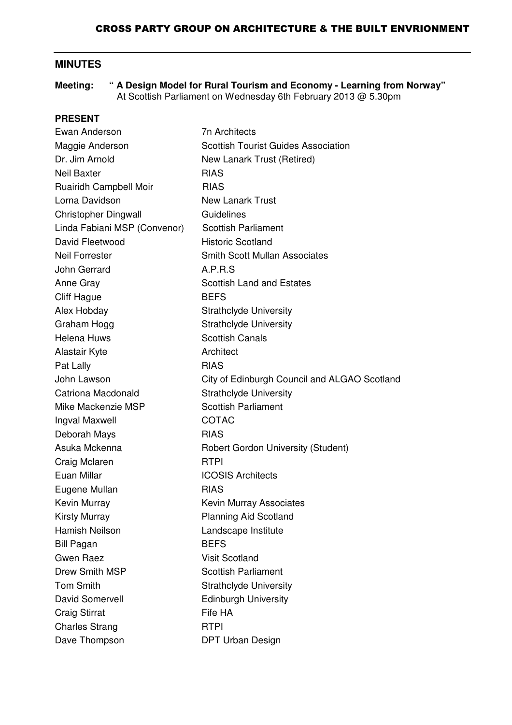# **MINUTES**

**Meeting: " A Design Model for Rural Tourism and Economy - Learning from Norway"** At Scottish Parliament on Wednesday 6th February 2013 @ 5.30pm

#### **PRESENT**

| Ewan Anderson                | <b>7n Architects</b>                         |
|------------------------------|----------------------------------------------|
| Maggie Anderson              | <b>Scottish Tourist Guides Association</b>   |
| Dr. Jim Arnold               | New Lanark Trust (Retired)                   |
| <b>Neil Baxter</b>           | <b>RIAS</b>                                  |
| Ruairidh Campbell Moir       | <b>RIAS</b>                                  |
| Lorna Davidson               | <b>New Lanark Trust</b>                      |
| <b>Christopher Dingwall</b>  | Guidelines                                   |
| Linda Fabiani MSP (Convenor) | <b>Scottish Parliament</b>                   |
| David Fleetwood              | <b>Historic Scotland</b>                     |
| <b>Neil Forrester</b>        | <b>Smith Scott Mullan Associates</b>         |
| John Gerrard                 | A.P.R.S                                      |
| Anne Gray                    | <b>Scottish Land and Estates</b>             |
| <b>Cliff Hague</b>           | <b>BEFS</b>                                  |
| Alex Hobday                  | <b>Strathclyde University</b>                |
| Graham Hogg                  | <b>Strathclyde University</b>                |
| <b>Helena Huws</b>           | <b>Scottish Canals</b>                       |
| Alastair Kyte                | Architect                                    |
| Pat Lally                    | <b>RIAS</b>                                  |
| John Lawson                  | City of Edinburgh Council and ALGAO Scotland |
| Catriona Macdonald           | <b>Strathclyde University</b>                |
| Mike Mackenzie MSP           | <b>Scottish Parliament</b>                   |
| Ingval Maxwell               | COTAC                                        |
| Deborah Mays                 | <b>RIAS</b>                                  |
| Asuka Mckenna                | <b>Robert Gordon University (Student)</b>    |
| Craig Mclaren                | <b>RTPI</b>                                  |
| Euan Millar                  | <b>ICOSIS Architects</b>                     |
| Eugene Mullan                | <b>RIAS</b>                                  |
| Kevin Murray                 | <b>Kevin Murray Associates</b>               |
| <b>Kirsty Murray</b>         | <b>Planning Aid Scotland</b>                 |
| <b>Hamish Neilson</b>        | Landscape Institute                          |
| <b>Bill Pagan</b>            | <b>BEFS</b>                                  |
| <b>Gwen Raez</b>             | <b>Visit Scotland</b>                        |
| Drew Smith MSP               | <b>Scottish Parliament</b>                   |
| <b>Tom Smith</b>             | <b>Strathclyde University</b>                |
| David Somervell              | <b>Edinburgh University</b>                  |
| <b>Craig Stirrat</b>         | Fife HA                                      |
| <b>Charles Strang</b>        | <b>RTPI</b>                                  |
| Dave Thompson                | DPT Urban Design                             |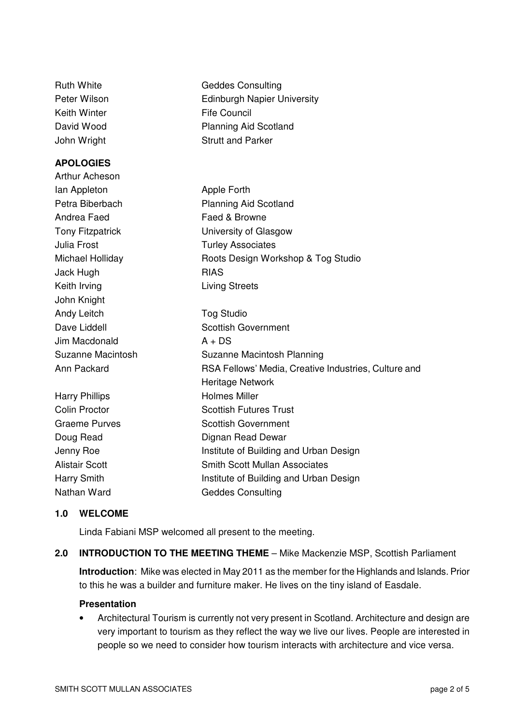| <b>Ruth White</b>       | <b>Geddes Consulting</b>                             |
|-------------------------|------------------------------------------------------|
| Peter Wilson            | <b>Edinburgh Napier University</b>                   |
| <b>Keith Winter</b>     | <b>Fife Council</b>                                  |
| David Wood              | <b>Planning Aid Scotland</b>                         |
| John Wright             | <b>Strutt and Parker</b>                             |
| <b>APOLOGIES</b>        |                                                      |
| Arthur Acheson          |                                                      |
| lan Appleton            | Apple Forth                                          |
| Petra Biberbach         | <b>Planning Aid Scotland</b>                         |
| Andrea Faed             | Faed & Browne                                        |
| <b>Tony Fitzpatrick</b> | University of Glasgow                                |
| <b>Julia Frost</b>      | <b>Turley Associates</b>                             |
| Michael Holliday        | Roots Design Workshop & Tog Studio                   |
| Jack Hugh               | <b>RIAS</b>                                          |
| Keith Irving            | <b>Living Streets</b>                                |
| John Knight             |                                                      |
| Andy Leitch             | <b>Tog Studio</b>                                    |
| Dave Liddell            | <b>Scottish Government</b>                           |
| Jim Macdonald           | $A + DS$                                             |
| Suzanne Macintosh       | Suzanne Macintosh Planning                           |
| Ann Packard             | RSA Fellows' Media, Creative Industries, Culture and |
|                         | <b>Heritage Network</b>                              |
| <b>Harry Phillips</b>   | <b>Holmes Miller</b>                                 |
| <b>Colin Proctor</b>    | <b>Scottish Futures Trust</b>                        |
| <b>Graeme Purves</b>    | <b>Scottish Government</b>                           |
| Doug Read               | Dignan Read Dewar                                    |
| Jenny Roe               | Institute of Building and Urban Design               |
| <b>Alistair Scott</b>   | <b>Smith Scott Mullan Associates</b>                 |
| <b>Harry Smith</b>      | Institute of Building and Urban Design               |
| Nathan Ward             | <b>Geddes Consulting</b>                             |

### **1.0 WELCOME**

Linda Fabiani MSP welcomed all present to the meeting.

#### **2.0 INTRODUCTION TO THE MEETING THEME** – Mike Mackenzie MSP, Scottish Parliament

**Introduction**: Mike was elected in May 2011 as the member for the Highlands and Islands. Prior to this he was a builder and furniture maker. He lives on the tiny island of Easdale.

#### **Presentation**

• Architectural Tourism is currently not very present in Scotland. Architecture and design are very important to tourism as they reflect the way we live our lives. People are interested in people so we need to consider how tourism interacts with architecture and vice versa.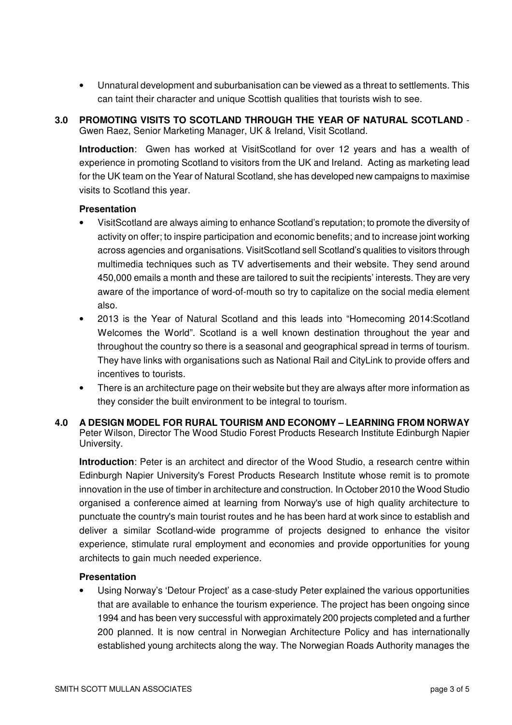• Unnatural development and suburbanisation can be viewed as a threat to settlements. This can taint their character and unique Scottish qualities that tourists wish to see.

### **3.0 PROMOTING VISITS TO SCOTLAND THROUGH THE YEAR OF NATURAL SCOTLAND** - Gwen Raez, Senior Marketing Manager, UK & Ireland, Visit Scotland.

**Introduction**: Gwen has worked at VisitScotland for over 12 years and has a wealth of experience in promoting Scotland to visitors from the UK and Ireland. Acting as marketing lead for the UK team on the Year of Natural Scotland, she has developed new campaigns to maximise visits to Scotland this year.

#### **Presentation**

- VisitScotland are always aiming to enhance Scotland's reputation; to promote the diversity of activity on offer; to inspire participation and economic benefits; and to increase joint working across agencies and organisations. VisitScotland sell Scotland's qualities to visitors through multimedia techniques such as TV advertisements and their website. They send around 450,000 emails a month and these are tailored to suit the recipients' interests. They are very aware of the importance of word-of-mouth so try to capitalize on the social media element also.
- 2013 is the Year of Natural Scotland and this leads into "Homecoming 2014:Scotland Welcomes the World". Scotland is a well known destination throughout the year and throughout the country so there is a seasonal and geographical spread in terms of tourism. They have links with organisations such as National Rail and CityLink to provide offers and incentives to tourists.
- There is an architecture page on their website but they are always after more information as they consider the built environment to be integral to tourism.
- **4.0 A DESIGN MODEL FOR RURAL TOURISM AND ECONOMY – LEARNING FROM NORWAY** Peter Wilson, Director The Wood Studio Forest Products Research Institute Edinburgh Napier University.

**Introduction**: Peter is an architect and director of the Wood Studio, a research centre within Edinburgh Napier University's Forest Products Research Institute whose remit is to promote innovation in the use of timber in architecture and construction. In October 2010 the Wood Studio organised a conference aimed at learning from Norway's use of high quality architecture to punctuate the country's main tourist routes and he has been hard at work since to establish and deliver a similar Scotland-wide programme of projects designed to enhance the visitor experience, stimulate rural employment and economies and provide opportunities for young architects to gain much needed experience.

#### **Presentation**

• Using Norway's 'Detour Project' as a case-study Peter explained the various opportunities that are available to enhance the tourism experience. The project has been ongoing since 1994 and has been very successful with approximately 200 projects completed and a further 200 planned. It is now central in Norwegian Architecture Policy and has internationally established young architects along the way. The Norwegian Roads Authority manages the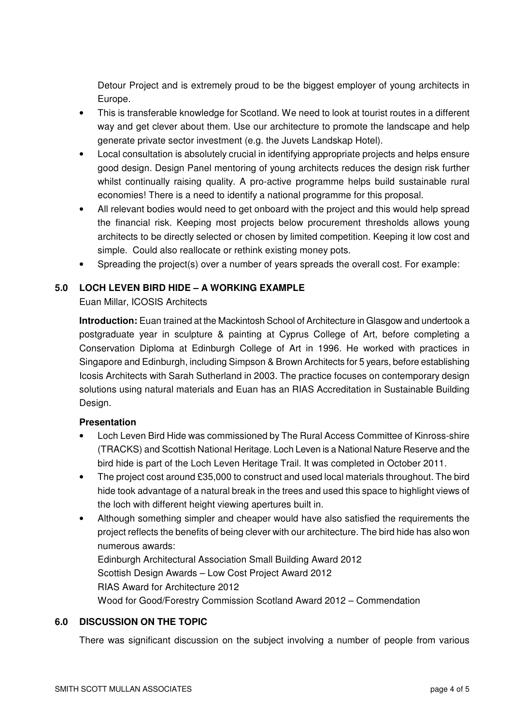Detour Project and is extremely proud to be the biggest employer of young architects in Europe.

- This is transferable knowledge for Scotland. We need to look at tourist routes in a different way and get clever about them. Use our architecture to promote the landscape and help generate private sector investment (e.g. the Juvets Landskap Hotel).
- Local consultation is absolutely crucial in identifying appropriate projects and helps ensure good design. Design Panel mentoring of young architects reduces the design risk further whilst continually raising quality. A pro-active programme helps build sustainable rural economies! There is a need to identify a national programme for this proposal.
- All relevant bodies would need to get onboard with the project and this would help spread the financial risk. Keeping most projects below procurement thresholds allows young architects to be directly selected or chosen by limited competition. Keeping it low cost and simple. Could also reallocate or rethink existing money pots.
- Spreading the project(s) over a number of years spreads the overall cost. For example:

## **5.0 LOCH LEVEN BIRD HIDE – A WORKING EXAMPLE**

Euan Millar, ICOSIS Architects

**Introduction:** Euan trained at the Mackintosh School of Architecture in Glasgow and undertook a postgraduate year in sculpture & painting at Cyprus College of Art, before completing a Conservation Diploma at Edinburgh College of Art in 1996. He worked with practices in Singapore and Edinburgh, including Simpson & Brown Architects for 5 years, before establishing Icosis Architects with Sarah Sutherland in 2003. The practice focuses on contemporary design solutions using natural materials and Euan has an RIAS Accreditation in Sustainable Building Design.

### **Presentation**

- Loch Leven Bird Hide was commissioned by The Rural Access Committee of Kinross-shire (TRACKS) and Scottish National Heritage. Loch Leven is a National Nature Reserve and the bird hide is part of the Loch Leven Heritage Trail. It was completed in October 2011.
- The project cost around £35,000 to construct and used local materials throughout. The bird hide took advantage of a natural break in the trees and used this space to highlight views of the loch with different height viewing apertures built in.
- Although something simpler and cheaper would have also satisfied the requirements the project reflects the benefits of being clever with our architecture. The bird hide has also won numerous awards:

Edinburgh Architectural Association Small Building Award 2012 Scottish Design Awards – Low Cost Project Award 2012 RIAS Award for Architecture 2012 Wood for Good/Forestry Commission Scotland Award 2012 – Commendation

### **6.0 DISCUSSION ON THE TOPIC**

There was significant discussion on the subject involving a number of people from various